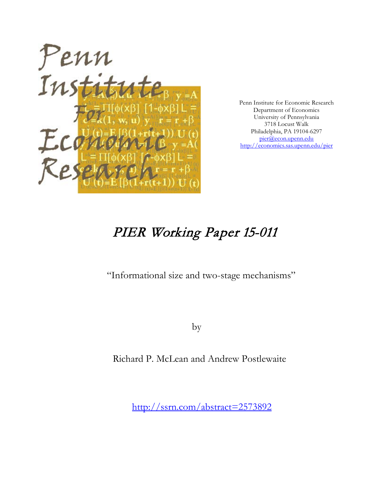

Penn Institute for Economic Research Department of Economics University of Pennsylvania 3718 Locust Walk Philadelphia, PA 19104-6297 [pier@econ.upenn.edu](mailto:pier@econ.upenn.edu) <http://economics.sas.upenn.edu/pier>

# PIER Working Paper 15-011

"Informational size and two-stage mechanisms"

by

Richard P. McLean and Andrew Postlewaite

[http://ssrn.com/abstract=2](http://ssrn.com/abstract_id=)573892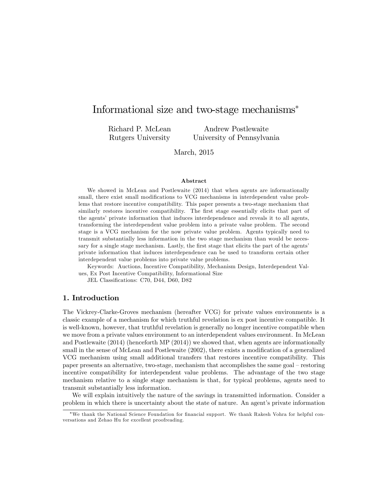# Informational size and two-stage mechanisms

Richard P. McLean Rutgers University

Andrew Postlewaite University of Pennsylvania

March, 2015

## Abstract

We showed in McLean and Postlewaite (2014) that when agents are informationally small, there exist small modifications to VCG mechanisms in interdependent value problems that restore incentive compatibility. This paper presents a two-stage mechanism that similarly restores incentive compatibility. The first stage essentially elicits that part of the agentsí private information that induces interdependence and reveals it to all agents, transforming the interdependent value problem into a private value problem. The second stage is a VCG mechanism for the now private value problem. Agents typically need to transmit substantially less information in the two stage mechanism than would be necessary for a single stage mechanism. Lastly, the first stage that elicits the part of the agents' private information that induces interdependence can be used to transform certain other interdependent value problems into private value problems.

Keywords: Auctions, Incentive Compatibility, Mechanism Design, Interdependent Values, Ex Post Incentive Compatibility, Informational Size

JEL Classifications: C70, D44, D60, D82

# 1. Introduction

The Vickrey-Clarke-Groves mechanism (hereafter VCG) for private values environments is a classic example of a mechanism for which truthful revelation is ex post incentive compatible. It is well-known, however, that truthful revelation is generally no longer incentive compatible when we move from a private values environment to an interdependent values environment. In McLean and Postlewaite (2014) (henceforth MP (2014)) we showed that, when agents are informationally small in the sense of McLean and Postlewaite (2002), there exists a modification of a generalized VCG mechanism using small additional transfers that restores incentive compatibility. This paper presents an alternative, two-stage, mechanism that accomplishes the same goal – restoring incentive compatibility for interdependent value problems. The advantage of the two stage mechanism relative to a single stage mechanism is that, for typical problems, agents need to transmit substantially less information.

We will explain intuitively the nature of the savings in transmitted information. Consider a problem in which there is uncertainty about the state of nature. An agent's private information

<sup>\*</sup>We thank the National Science Foundation for financial support. We thank Rakesh Vohra for helpful conversations and Zehao Hu for excellent proofreading.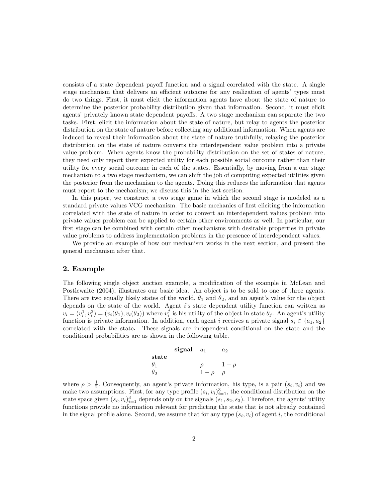consists of a state dependent payoff function and a signal correlated with the state. A single stage mechanism that delivers an efficient outcome for any realization of agents' types must do two things. First, it must elicit the information agents have about the state of nature to determine the posterior probability distribution given that information. Second, it must elicit agents' privately known state dependent payoffs. A two stage mechanism can separate the two tasks. First, elicit the information about the state of nature, but relay to agents the posterior distribution on the state of nature before collecting any additional information. When agents are induced to reveal their information about the state of nature truthfully, relaying the posterior distribution on the state of nature converts the interdependent value problem into a private value problem. When agents know the probability distribution on the set of states of nature, they need only report their expected utility for each possible social outcome rather than their utility for every social outcome in each of the states. Essentially, by moving from a one stage mechanism to a two stage mechanism, we can shift the job of computing expected utilities given the posterior from the mechanism to the agents. Doing this reduces the information that agents must report to the mechanism; we discuss this in the last section.

In this paper, we construct a two stage game in which the second stage is modeled as a standard private values VCG mechanism. The basic mechanics of first eliciting the information correlated with the state of nature in order to convert an interdependent values problem into private values problem can be applied to certain other environments as well. In particular, our first stage can be combined with certain other mechanisms with desirable properties in private value problems to address implementation problems in the presence of interdependent values.

We provide an example of how our mechanism works in the next section, and present the general mechanism after that.

# 2. Example

The following single object auction example, a modification of the example in McLean and Postlewaite (2004), illustrates our basic idea. An object is to be sold to one of three agents. There are two equally likely states of the world,  $\theta_1$  and  $\theta_2$ , and an agent's value for the object depends on the state of the world. Agent i's state dependent utility function can written as  $v_i = (v_i^1, v_i^2) = (v_i(\theta_1), v_i(\theta_2))$  where  $v_i^j$  is his utility of the object in state  $\theta_j$ . An agent's utility function is private information. In addition, each agent i receives a private signal  $s_i \in \{a_1, a_2\}$ correlated with the state. These signals are independent conditional on the state and the conditional probabilities are as shown in the following table.

|                | signal $a_1$ |          | $a_2$    |
|----------------|--------------|----------|----------|
| $_{\rm state}$ |              |          |          |
| $\theta$ 1     |              |          | $1-\rho$ |
| $\theta_2$     |              | $1-\rho$ | ρ        |

where  $\rho > \frac{1}{2}$ . Consequently, an agent's private information, his type, is a pair  $(s_i, v_i)$  and we make two assumptions. First, for any type profile  $(s_i, v_i)_{i=1}^3$ , the conditional distribution on the state space given  $(s_i, v_i)_{i=1}^3$  depends only on the signals  $(s_1, s_2, s_3)$ . Therefore, the agents' utility functions provide no information relevant for predicting the state that is not already contained in the signal profile alone. Second, we assume that for any type  $(s_i, v_i)$  of agent i, the conditional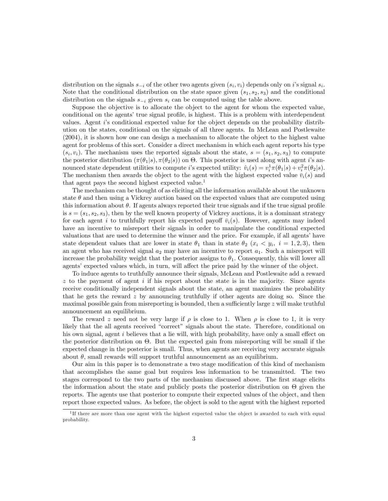distribution on the signals  $s_{-i}$  of the other two agents given  $(s_i, v_i)$  depends only on i's signal  $s_i$ . Note that the conditional distribution on the state space given  $(s_1, s_2, s_3)$  and the conditional distribution on the signals  $s_{-i}$  given  $s_i$  can be computed using the table above.

Suppose the objective is to allocate the object to the agent for whom the expected value, conditional on the agents' true signal profile, is highest. This is a problem with interdependent values. Agent iís conditional expected value for the object depends on the probability distribution on the states, conditional on the signals of all three agents. In McLean and Postlewaite (2004), it is shown how one can design a mechanism to allocate the object to the highest value agent for problems of this sort. Consider a direct mechanism in which each agent reports his type  $(s_i, v_i)$ . The mechanism uses the reported signals about the state,  $s = (s_1, s_2, s_3)$  to compute the posterior distribution  $(\pi(\theta_1|s), \pi(\theta_2|s))$  on  $\Theta$ . This posterior is used along with agent *i*'s announced state dependent utilities to compute *i*'s expected utility:  $\hat{v}_i(s) = v_i^1 \pi(\theta_1|s) + v_i^2 \pi(\theta_2|s)$ . The mechanism then awards the object to the agent with the highest expected value  $\bar{v}_i(s)$  and that agent pays the second highest expected value.<sup>1</sup>

The mechanism can be thought of as eliciting all the information available about the unknown state  $\theta$  and then using a Vickrey auction based on the expected values that are computed using this information about  $\theta$ . If agents always reported their true signals and if the true signal profile is  $s = (s_1, s_2, s_3)$ , then by the well known property of Vickrey auctions, it is a dominant strategy for each agent i to truthfully report his expected payoff  $\bar{v}_i(s)$ . However, agents may indeed have an incentive to misreport their signals in order to manipulate the conditional expected valuations that are used to determine the winner and the price. For example, if all agents' have state dependent values that are lower in state  $\theta_1$  than in state  $\theta_2$   $(x_i \lt y_i, i = 1, 2, 3)$ , then an agent who has received signal  $a_2$  may have an incentive to report  $a_1$ . Such a misreport will increase the probability weight that the posterior assigns to  $\theta_1$ . Consequently, this will lower all agents' expected values which, in turn, will affect the price paid by the winner of the object.

To induce agents to truthfully announce their signals, McLean and Postlewaite add a reward  $z$  to the payment of agent  $i$  if his report about the state is in the majority. Since agents receive conditionally independent signals about the state, an agent maximizes the probability that he gets the reward  $z$  by announcing truthfully if other agents are doing so. Since the maximal possible gain from misreporting is bounded, then a sufficiently large  $z$  will make truthful announcement an equilibrium.

The reward z need not be very large if  $\rho$  is close to 1. When  $\rho$  is close to 1, it is very likely that the all agents received "correct" signals about the state. Therefore, conditional on his own signal, agent  $i$  believes that a lie will, with high probability, have only a small effect on the posterior distribution on  $\Theta$ . But the expected gain from misreporting will be small if the expected change in the posterior is small. Thus, when agents are receiving very accurate signals about  $\theta$ , small rewards will support truthful announcement as an equilibrium.

Our aim in this paper is to demonstrate a two stage modification of this kind of mechanism that accomplishes the same goal but requires less information to be transmitted. The two stages correspond to the two parts of the mechanism discussed above. The first stage elicits the information about the state and publicly posts the posterior distribution on  $\Theta$  given the reports. The agents use that posterior to compute their expected values of the object, and then report those expected values. As before, the object is sold to the agent with the highest reported

<sup>&</sup>lt;sup>1</sup>If there are more than one agent with the highest expected value the object is awarded to each with equal probability.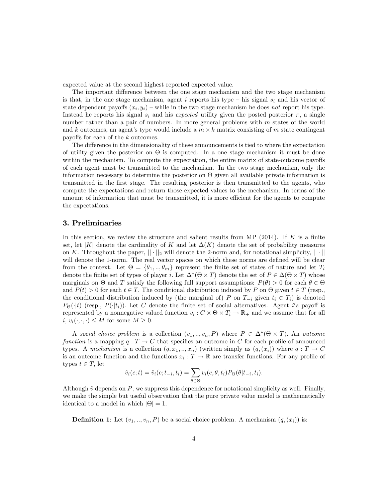expected value at the second highest reported expected value.

The important difference between the one stage mechanism and the two stage mechanism is that, in the one stage mechanism, agent i reports his type – his signal  $s_i$  and his vector of state dependent payoffs  $(x_i, y_i)$  – while in the two stage mechanism he does not report his type. Instead he reports his signal  $s_i$  and his expected utility given the posted posterior  $\pi$ , a single number rather than a pair of numbers. In more general problems with  $m$  states of the world and k outcomes, an agent's type would include a  $m \times k$  matrix consisting of m state contingent payoffs for each of the  $k$  outcomes.

The difference in the dimensionality of these announcements is tied to where the expectation of utility given the posterior on  $\Theta$  is computed. In a one stage mechanism it must be done within the mechanism. To compute the expectation, the entire matrix of state-outcome payoffs of each agent must be transmitted to the mechanism. In the two stage mechanism, only the information necessary to determine the posterior on  $\Theta$  given all available private information is transmitted in the Örst stage. The resulting posterior is then transmitted to the agents, who compute the expectations and return those expected values to the mechanism. In terms of the amount of information that must be transmitted, it is more efficient for the agents to compute the expectations.

# 3. Preliminaries

In this section, we review the structure and salient results from MP  $(2014)$ . If K is a finite set, let |K| denote the cardinality of K and let  $\Delta(K)$  denote the set of probability measures on K. Throughout the paper,  $||\cdot||_2$  will denote the 2-norm and, for notational simplicity,  $||\cdot||_2$ will denote the 1-norm. The real vector spaces on which these norms are defined will be clear from the context. Let  $\Theta = {\theta_1, ..., \theta_m}$  represent the finite set of states of nature and let  $T_i$ denote the finite set of types of player *i*. Let  $\Delta^*(\Theta \times T)$  denote the set of  $P \in \Delta(\Theta \times T)$  whose marginals on  $\Theta$  and  $T$  satisfy the following full support assumptions:  $P(\theta) > 0$  for each  $\theta \in \Theta$ and  $P(t) > 0$  for each  $t \in T$ . The conditional distribution induced by P on  $\Theta$  given  $t \in T$  (resp., the conditional distribution induced by (the marginal of) P on  $T_{-i}$  given  $t_i \in T_i$ ) is denoted  $P_{\Theta}(\cdot|t)$  (resp.,  $P(\cdot|t_i)$ ). Let C denote the finite set of social alternatives. Agent i's payoff is represented by a nonnegative valued function  $v_i: C \times \Theta \times T_i \to \mathbb{R}_+$  and we assume that for all  $i, v_i(\cdot, \cdot, \cdot) \leq M$  for some  $M \geq 0$ .

A social choice problem is a collection  $(v_1, ..., v_n, P)$  where  $P \in \Delta^*(\Theta \times T)$ . An outcome function is a mapping  $q: T \to C$  that specifies an outcome in C for each profile of announced types. A mechanism is a collection  $(q, x_1, ..., x_n)$  (written simply as  $(q, (x_i))$ ) where  $q: T \to C$ is an outcome function and the functions  $x_i : T \to \mathbb{R}$  are transfer functions. For any profile of types  $t \in T$ , let

$$
\hat{v}_i(c;t) = \hat{v}_i(c;t_{-i},t_i) = \sum_{\theta \in \Theta} v_i(c,\theta,t_i) P_{\Theta}(\theta | t_{-i},t_i).
$$

Although  $\hat{v}$  depends on P, we suppress this dependence for notational simplicity as well. Finally, we make the simple but useful observation that the pure private value model is mathematically identical to a model in which  $|\Theta| = 1$ .

**Definition 1:** Let  $(v_1, ..., v_n, P)$  be a social choice problem. A mechanism  $(q, (x_i))$  is: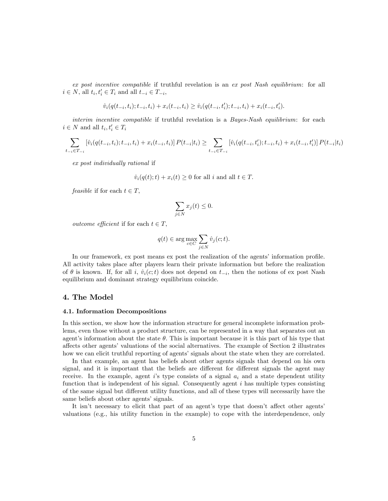ex post incentive compatible if truthful revelation is an ex post Nash equilibrium: for all  $i \in N$ , all  $t_i, t'_i \in T_i$  and all  $t_{-i} \in T_{-i}$ ,

$$
\hat{v}_i(q(t_{-i}, t_i); t_{-i}, t_i) + x_i(t_{-i}, t_i) \geq \hat{v}_i(q(t_{-i}, t_i'); t_{-i}, t_i) + x_i(t_{-i}, t_i').
$$

interim incentive compatible if truthful revelation is a Bayes-Nash equilibrium: for each  $i \in N$  and all  $t_i, t'_i \in T_i$ 

$$
\sum_{t_{-i}\in T_{-i}} \left[ \hat{v}_i(q(t_{-i},t_i);t_{-i},t_i) + x_i(t_{-i},t_i) \right] P(t_{-i}|t_i) \ge \sum_{t_{-i}\in T_{-i}} \left[ \hat{v}_i(q(t_{-i},t_i');t_{-i},t_i) + x_i(t_{-i},t_i') \right] P(t_{-i}|t_i)
$$

ex post individually rational if

$$
\hat{v}_i(q(t); t) + x_i(t) \ge 0
$$
 for all  $i$  and all  $t \in T$ .

feasible if for each  $t \in T$ ,

$$
\sum_{j \in N} x_j(t) \le 0.
$$

*outcome efficient* if for each  $t \in T$ ,

$$
q(t)\in \arg\max_{c\in C}\sum_{j\in N}\hat{v}_j(c;t).
$$

In our framework, ex post means ex post the realization of the agents' information profile. All activity takes place after players learn their private information but before the realization of  $\theta$  is known. If, for all i,  $\hat{v}_i(c;t)$  does not depend on  $t_{-i}$ , then the notions of ex post Nash equilibrium and dominant strategy equilibrium coincide.

# 4. The Model

#### 4.1. Information Decompositions

In this section, we show how the information structure for general incomplete information problems, even those without a product structure, can be represented in a way that separates out an agent's information about the state  $\theta$ . This is important because it is this part of his type that affects other agents' valuations of the social alternatives. The example of Section 2 illustrates how we can elicit truthful reporting of agents' signals about the state when they are correlated.

In that example, an agent has beliefs about other agents signals that depend on his own signal, and it is important that the beliefs are different for different signals the agent may receive. In the example, agent is type consists of a signal  $a_i$  and a state dependent utility function that is independent of his signal. Consequently agent  $i$  has multiple types consisting of the same signal but different utility functions, and all of these types will necessarily have the same beliefs about other agents' signals.

It isn't necessary to elicit that part of an agent's type that doesn't affect other agents' valuations (e.g., his utility function in the example) to cope with the interdependence, only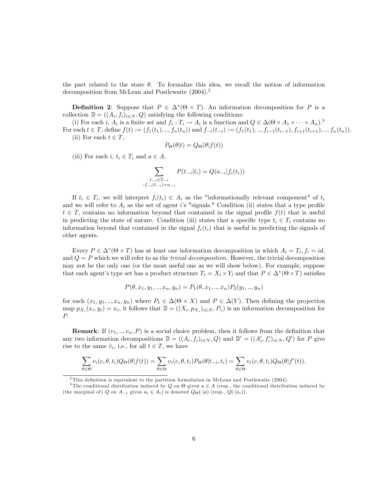the part related to the state  $\theta$ . To formalize this idea, we recall the notion of information decomposition from McLean and Postlewaite (2004).<sup>2</sup>

**Definition 2:** Suppose that  $P \in \Delta^*(\Theta \times T)$ . An information decomposition for P is a collection  $\mathbb{D} = ((A_i, f_i)_{i \in N}, Q)$  satisfying the following conditions:

(i) For each i,  $A_i$  is a finite set and  $f_i: T_i \to A_i$  is a function and  $Q \in \Delta(\Theta \times A_1 \times \cdots \times A_n)^3$ For each  $t \in T$ , define  $f(t) := (f_1(t_1),..., f_n(t_n))$  and  $f_{-i}(t_{-i}) := (f_1(t_1),..., f_{i-1}(t_{i-1}), f_{i+1}(t_{i+1}),..., f_n(t_n)).$ 

(ii) For each  $t \in T$ ,

$$
P_{\Theta}(\theta|t) = Q_{\Theta}(\theta|f(t))
$$

(iii) For each  $i, t_i \in T_i$  and  $a \in A$ ,

$$
\sum_{\substack{t_{-i} \in T_{-i} \\ f_{-i}(t_{-i}) = a_{-i}}} P(t_{-i}|t_i) = Q(a_{-i}|f_i(t_i))
$$

If  $t_i \in T_i$ , we will interpret  $f_i(t_i) \in A_i$  as the "informationally relevant component" of  $t_i$ and we will refer to  $A_i$  as the set of agent is "signals." Condition (ii) states that a type profile  $t \in T$ , contains no information beyond that contained in the signal profile  $f(t)$  that is useful in predicting the state of nature. Condition (iii) states that a specific type  $t_i \in T_i$  contains no information beyond that contained in the signal  $f_i(t_i)$  that is useful in predicting the signals of other agents.

Every  $P \in \Delta^*(\Theta \times T)$  has at least one information decomposition in which  $A_i = T_i$ ,  $f_i = id$ , and  $Q = P$  which we will refer to as the *trivial decomposition*. However, the trivial decomposition may not be the only one (or the most useful one as we will show below). For example, suppose that each agent's type set has a product structure  $T_i = X_i \times Y_i$  and that  $P \in \Delta^*(\Theta \times T)$  satisfies

$$
P(\theta, x_1, y_1, \dots, x_n, y_n) = P_1(\theta, x_1, \dots, x_n) P_2(y_1, \dots, y_n)
$$

for each  $(x_1, y_1, ..., x_n, y_n)$  where  $P_1 \in \Delta(\Theta \times X)$  and  $P \in \Delta(Y)$ . Then defining the projection map  $p_{X_i}(x_i, y_i) = x_i$ , it follows that  $\mathbb{D} = ((X_i, p_{X_i})_{i \in N}, P_1)$  is an information decomposition for P.

**Remark:** If  $(v_1, \ldots, v_n, P)$  is a social choice problem, then it follows from the definition that any two information decompositions  $\mathbb{D} = ((A_i, f_i)_{i \in N}, Q)$  and  $\mathbb{D}' = ((A'_i, f'_i)_{i \in N}, Q')$  for P give rise to the same  $\hat{v}_i$ , i.e., for all  $t \in T$ , we have

$$
\sum_{\theta \in \Theta} v_i(c, \theta, t_i) Q_{\Theta}(\theta | f(t)) = \sum_{\theta \in \Theta} v_i(c, \theta, t_i) P_{\Theta}(\theta | t_{-i}, t_i) = \sum_{\theta \in \Theta} v_i(c, \theta, t_i) Q_{\Theta}(\theta | f'(t)).
$$

 $2$ This definition is equivalent to the partition formulation in McLean and Postlewaite (2004).

<sup>&</sup>lt;sup>3</sup>The conditional distribution induced by Q on  $\Theta$  given  $a \in A$  (resp., the conditional distribution induced by (the marginal of) Q on  $A_{-i}$  given  $a_i \in A_i$ ) is denoted  $Q_{\Theta}(\cdot | a)$  (resp.,  $Q(\cdot | a_i)$ ).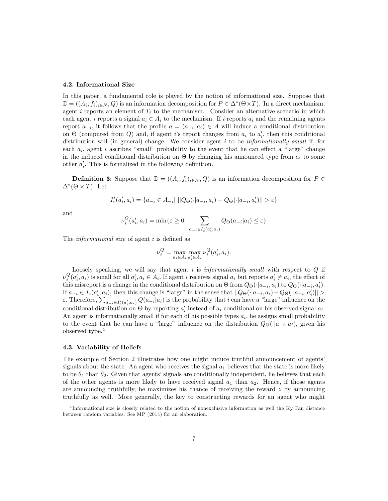#### 4.2. Informational Size

In this paper, a fundamental role is played by the notion of informational size. Suppose that  $\mathbb{D} = ((A_i, f_i)_{i \in N}, Q)$  is an information decomposition for  $P \in \Delta^*(\Theta \times T)$ . In a direct mechanism, agent i reports an element of  $T_i$  to the mechanism. Consider an alternative scenario in which each agent i reports a signal  $a_i \in A_i$  to the mechanism. If i reports  $a_i$  and the remaining agents report  $a_{-i}$ , it follows that the profile  $a = (a_{-i}, a_i) \in A$  will induce a conditional distribution on  $\Theta$  (computed from Q) and, if agent *i*'s report changes from  $a_i$  to  $a'_i$ , then this conditional distribution will (in general) change. We consider agent  $i$  to be *informationally small* if, for each  $a_i$ , agent i ascribes "small" probability to the event that he can effect a "large" change in the induced conditional distribution on  $\Theta$  by changing his announced type from  $a_i$  to some other  $a'_{i}$ . This is formalized in the following definition.

**Definition 3:** Suppose that  $\mathbb{D} = ((A_i, f_i)_{i \in N}, Q)$  is an information decomposition for  $P \in$  $\Delta^*(\Theta \times T)$ . Let

$$
I_{\varepsilon}^{i}(a'_{i}, a_{i}) = \{a_{-i} \in A_{-i} | ||Q_{\Theta}(\cdot|a_{-i}, a_{i}) - Q_{\Theta}(\cdot|a_{-i}, a'_{i})|| > \varepsilon\}
$$

and

$$
\nu_i^Q(a_i', a_i) = \min\{\varepsilon \ge 0 \mid \sum_{a_{-i} \in I^i_{\varepsilon}(a_i', a_i)} Q_{\Theta}(a_{-i}|a_i) \le \varepsilon\}
$$

The *informational size* of agent *i* is defined as

$$
\nu^Q_i = \max_{a_i \in A_i} \max_{a'_i \in A_i} \nu^Q_i(a'_i, a_i)
$$

Loosely speaking, we will say that agent  $i$  is informationally small with respect to  $Q$  if  $\nu_i^Q(a'_i, a_i)$  is small for all  $a'_i, a_i \in A_i$ . If agent i receives signal  $a_i$  but reports  $a'_i \neq a_i$ , the effect of this misreport is a change in the conditional distribution on  $\Theta$  from  $Q_{\Theta}(\cdot|a_{-i}, a_i)$  to  $Q_{\Theta}(\cdot|a_{-i}, a'_i)$ . If  $a_{-i} \in I_{\varepsilon}(a'_i, a_i)$ , then this change is "large" in the sense that  $||Q_{\Theta}(\cdot|a_{-i}, a_i) - Q_{\Theta}(\cdot|a_{-i}, a'_i)|| >$  $\varepsilon$ . Therefore,  $\sum_{a_{-i}\in I^i_*(a'_i,a_i)} Q(a_{-i}|a_i)$  is the probability that i can have a "large" influence on the conditional distribution on  $\Theta$  by reporting  $a'_i$  instead of  $a_i$  conditional on his observed signal  $a_i$ . An agent is informationally small if for each of his possible types  $a_i$ , he assigns small probability to the event that he can have a "large" influence on the distribution  $Q_{\Theta}(\cdot|a_{-i}, a_i)$ , given his observed type.<sup>4</sup>

#### 4.3. Variability of Beliefs

The example of Section 2 illustrates how one might induce truthful announcement of agents' signals about the state. An agent who receives the signal  $a_1$  believes that the state is more likely to be  $\theta_1$  than  $\theta_2$ . Given that agents' signals are conditionally independent, he believes that each of the other agents is more likely to have received signal  $a_1$  than  $a_2$ . Hence, if those agents are announcing truthfully, he maximizes his chance of receiving the reward  $z$  by announcing truthfully as well. More generally, the key to constructing rewards for an agent who might

 $4$ Informational size is closely related to the notion of nonexclusive information as well the Ky Fan distance between random variables. See MP (2014) for an elaboration.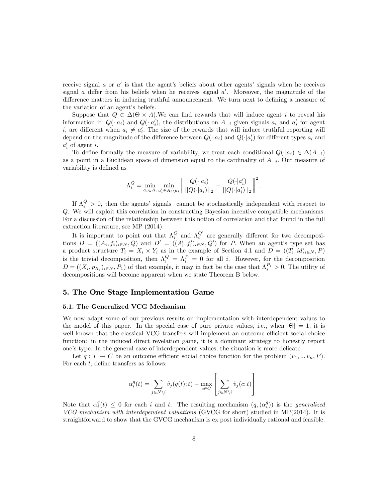receive signal  $a$  or  $a'$  is that the agent's beliefs about other agents' signals when he receives signal  $\alpha$  differ from his beliefs when he receives signal  $\alpha'$ . Moreover, the magnitude of the difference matters in inducing truthful announcement. We turn next to defining a measure of the variation of an agent's beliefs.

Suppose that  $Q \in \Delta(\Theta \times A)$ . We can find rewards that will induce agent i to reveal his information if  $Q(\cdot|a_i)$  and  $Q(\cdot|a'_i)$ , the distributions on  $A_{-i}$  given signals  $a_i$  and  $a'_i$  for agent i, are different when  $a_i \neq a'_i$ . The size of the rewards that will induce truthful reporting will depend on the magnitude of the difference between  $Q(\cdot|a_i)$  and  $Q(\cdot|a'_i)$  for different types  $a_i$  and  $a_i'$  of agent *i*.

To define formally the measure of variability, we treat each conditional  $Q(\cdot|a_i) \in \Delta(A_{-i})$ as a point in a Euclidean space of dimension equal to the cardinality of  $A_{-i}$ . Our measure of variability is defined as

$$
\Lambda_i^Q = \min_{a_i \in A_i} \min_{a'_i \in A_i \setminus a_i} \left\| \frac{Q(\cdot | a_i)}{||Q(\cdot | a_i)||_2} - \frac{Q(\cdot | a'_i)}{||Q(\cdot | a'_i)||_2} \right\|^2.
$$

If  $\Lambda_i^Q > 0$ , then the agents' signals cannot be stochastically independent with respect to Q. We will exploit this correlation in constructing Bayesian incentive compatible mechanisms. For a discussion of the relationship between this notion of correlation and that found in the full extraction literature, see MP (2014).

It is important to point out that  $\Lambda_i^Q$  and  $\Lambda_i^{Q'}$  are generally different for two decompositions  $D = ((A_i, f_i)_{i \in N}, Q)$  and  $D' = ((A'_i, f'_i)_{i \in N}, Q')$  for P. When an agent's type set has a product structure  $T_i = X_i \times Y_i$  as in the example of Section 4.1 and  $D = ((T_i, id)_{i \in N}, P)$ is the trivial decomposition, then  $\Lambda_i^Q = \Lambda_i^P = 0$  for all i. However, for the decomposition  $D = ((X_i, p_{X_i})_{i \in N}, P_1)$  of that example, it may in fact be the case that  $\Lambda_i^{P_1} > 0$ . The utility of decompositions will become apparent when we state Theorem B below.

# 5. The One Stage Implementation Game

### 5.1. The Generalized VCG Mechanism

We now adapt some of our previous results on implementation with interdependent values to the model of this paper. In the special case of pure private values, i.e., when  $|\Theta| = 1$ , it is well known that the classical VCG transfers will implement an outcome efficient social choice function: in the induced direct revelation game, it is a dominant strategy to honestly report one's type. In the general case of interdependent values, the situation is more delicate.

Let  $q: T \to C$  be an outcome efficient social choice function for the problem  $(v_1, ..., v_n, P)$ . For each  $t$ , define transfers as follows:

$$
\alpha_i^q(t) = \sum_{j \in N \backslash i} \hat{v}_j(q(t); t) - \max_{c \in C} \left[ \sum_{j \in N \backslash i} \hat{v}_j(c; t) \right]
$$

Note that  $\alpha_i^q(t) \leq 0$  for each i and t. The resulting mechanism  $(q, (\alpha_i^q))$  is the *generalized* VCG mechanism with interdependent valuations (GVCG for short) studied in MP(2014). It is straightforward to show that the GVCG mechanism is ex post individually rational and feasible.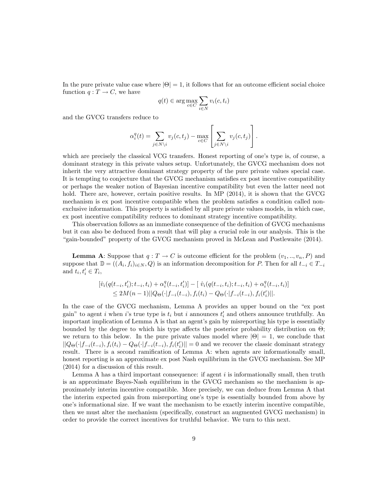In the pure private value case where  $|\Theta| = 1$ , it follows that for an outcome efficient social choice function  $q: T \to C$ , we have

$$
q(t) \in \arg\max_{c \in C} \sum_{i \in N} v_i(c, t_i)
$$

and the GVCG transfers reduce to

$$
\alpha_i^q(t) = \sum_{j \in N \setminus i} v_j(c, t_j) - \max_{c \in C} \left[ \sum_{j \in N \setminus i} v_j(c, t_j) \right].
$$

which are precisely the classical VCG transfers. Honest reporting of one's type is, of course, a dominant strategy in this private values setup. Unfortunately, the GVCG mechanism does not inherit the very attractive dominant strategy property of the pure private values special case. It is tempting to conjecture that the GVCG mechanism satisfies ex post incentive compatibility or perhaps the weaker notion of Bayesian incentive compatibility but even the latter need not hold. There are, however, certain positive results. In MP (2014), it is shown that the GVCG mechanism is ex post incentive compatible when the problem satisfies a condition called nonexclusive information. This property is satisfied by all pure private values models, in which case, ex post incentive compatibility reduces to dominant strategy incentive compatibility.

This observation follows as an immediate consequence of the definition of GVCG mechanisms but it can also be deduced from a result that will play a crucial role in our analysis. This is the ìgain-boundedî property of the GVCG mechanism proved in McLean and Postlewaite (2014).

**Lemma A:** Suppose that  $q: T \to C$  is outcome efficient for the problem  $(v_1, ..., v_n, P)$  and suppose that  $\mathbb{D} = ((A_i, f_i)_{i \in N}, Q)$  is an information decomposition for P. Then for all  $t_{-i} \in T_{-i}$ and  $t_i, t'_i \in T_i$ ,

$$
\begin{aligned} [\hat{v}_i(q(t_{-i}, t'_i); t_{-i}, t_i) + \alpha_i^q(t_{-i}, t'_i)] - [\ \hat{v}_i(q(t_{-i}, t_i); t_{-i}, t_i) + \alpha_i^q(t_{-i}, t_i)] \\ &\leq 2M(n-1) ||Q_\Theta(\cdot | f_{-i}(t_{-i}), f_i(t_i) - Q_\Theta(\cdot | f_{-i}(t_{-i}), f_i(t'_i) ||). \end{aligned}
$$

In the case of the GVCG mechanism, Lemma A provides an upper bound on the "ex post gain" to agent *i* when *i*'s true type is  $t_i$  but *i* announces  $t'_i$  and others announce truthfully. An important implication of Lemma A is that an agent's gain by misreporting his type is essentially bounded by the degree to which his type affects the posterior probability distribution on  $\Theta$ ; we return to this below. In the pure private values model where  $|\Theta| = 1$ , we conclude that  $||Q_{\Theta}(\cdot|f_{-i}(t_{-i}), f_i(t_i) - Q_{\Theta}(\cdot|f_{-i}(t_{-i}), f_i(t'_i)|| = 0$  and we recover the classic dominant strategy result. There is a second ramification of Lemma A: when agents are informationally small, honest reporting is an approximate ex post Nash equilibrium in the GVCG mechanism. See MP (2014) for a discussion of this result.

Lemma A has a third important consequence: if agent  $i$  is informationally small, then truth is an approximate Bayes-Nash equilibrium in the GVCG mechanism so the mechanism is approximately interim incentive compatible. More precisely, we can deduce from Lemma A that the interim expected gain from misreporting one's type is essentially bounded from above by one's informational size. If we want the mechanism to be exactly interim incentive compatible, then we must alter the mechanism (specifically, construct an augmented GVCG mechanism) in order to provide the correct incentives for truthful behavior. We turn to this next.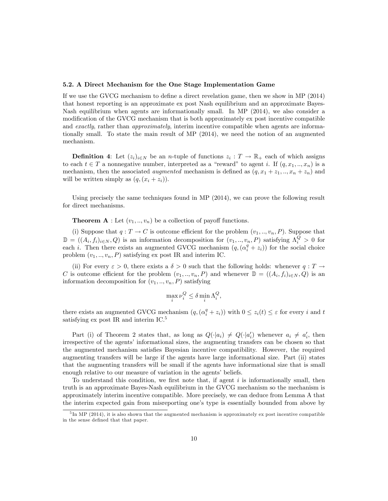#### 5.2. A Direct Mechanism for the One Stage Implementation Game

If we use the GVCG mechanism to define a direct revelation game, then we show in MP  $(2014)$ that honest reporting is an approximate ex post Nash equilibrium and an approximate Bayes-Nash equilibrium when agents are informationally small. In MP (2014), we also consider a modification of the GVCG mechanism that is both approximately ex post incentive compatible and exactly, rather than approximately, interim incentive compatible when agents are informationally small. To state the main result of MP (2014), we need the notion of an augmented mechanism.

**Definition 4:** Let  $(z_i)_{i \in N}$  be an *n*-tuple of functions  $z_i : T \to \mathbb{R}_+$  each of which assigns to each  $t \in T$  a nonnegative number, interpreted as a "reward" to agent i. If  $(q, x_1, \ldots, x_n)$  is a mechanism, then the associated *augmented* mechanism is defined as  $(q, x_1 + z_1, ..., x_n + z_n)$  and will be written simply as  $(q,(x_i + z_i))$ .

Using precisely the same techniques found in MP (2014), we can prove the following result for direct mechanisms.

**Theorem A** : Let  $(v_1, \ldots, v_n)$  be a collection of payoff functions.

(i) Suppose that  $q: T \to C$  is outcome efficient for the problem  $(v_1, \ldots, v_n, P)$ . Suppose that  $\mathbb{D} = ((A_i, f_i)_{i \in N}, Q)$  is an information decomposition for  $(v_1, ..., v_n, P)$  satisfying  $\Lambda_i^Q > 0$  for each i. Then there exists an augmented GVCG mechanism  $(q, (\alpha_i^q + z_i))$  for the social choice problem  $(v_1, \ldots, v_n, P)$  satisfying ex post IR and interim IC.

(ii) For every  $\varepsilon > 0$ , there exists a  $\delta > 0$  such that the following holds: whenever  $q: T \to$ C is outcome efficient for the problem  $(v_1, ..., v_n, P)$  and whenever  $\mathbb{D} = ((A_i, f_i)_{i \in N}, Q)$  is an information decomposition for  $(v_1, ..., v_n, P)$  satisfying

$$
\max_{i} \nu_i^Q \le \delta \min_{i} \Lambda_i^Q,
$$

there exists an augmented GVCG mechanism  $(q, (\alpha_i^q + z_i))$  with  $0 \leq z_i(t) \leq \varepsilon$  for every i and t satisfying ex post IR and interim IC.<sup>5</sup>

Part (i) of Theorem 2 states that, as long as  $Q(\cdot|a_i) \neq Q(\cdot|a'_i)$  whenever  $a_i \neq a'_i$ , then irrespective of the agents' informational sizes, the augmenting transfers can be chosen so that the augmented mechanism satisfies Bayesian incentive compatibility. However, the required augmenting transfers will be large if the agents have large informational size. Part (ii) states that the augmenting transfers will be small if the agents have informational size that is small enough relative to our measure of variation in the agents' beliefs.

To understand this condition, we first note that, if agent  $i$  is informationally small, then truth is an approximate Bayes-Nash equilibrium in the GVCG mechanism so the mechanism is approximately interim incentive compatible. More precisely, we can deduce from Lemma A that the interim expected gain from misreporting one's type is essentially bounded from above by

<sup>&</sup>lt;sup>5</sup>In MP (2014), it is also shown that the augmented mechanism is approximately ex post incentive compatible in the sense defined that that paper.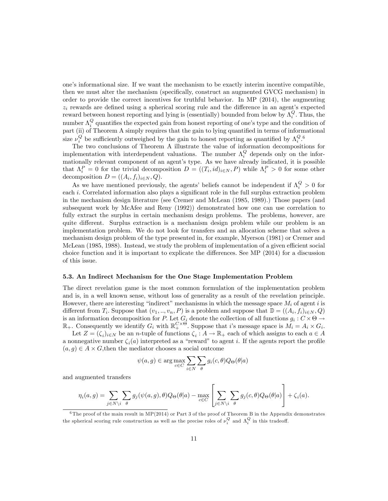one's informational size. If we want the mechanism to be exactly interim incentive compatible, then we must alter the mechanism (specifically, construct an augmented GVCG mechanism) in order to provide the correct incentives for truthful behavior. In MP (2014), the augmenting  $z_i$  rewards are defined using a spherical scoring rule and the difference in an agent's expected reward between honest reporting and lying is (essentially) bounded from below by  $\Lambda_i^Q$ . Thus, the number  $\Lambda_i^Q$  quantifies the expected gain from honest reporting of one's type and the condition of part (ii) of Theorem A simply requires that the gain to lying quantified in terms of informational size  $\nu_i^Q$  be sufficiently outweighed by the gain to honest reporting as quantified by  $\Lambda_i^Q$ .<sup>6</sup>

The two conclusions of Theorem A illustrate the value of information decompositions for implementation with interdependent valuations. The number  $\Lambda_i^Q$  depends only on the informationally relevant component of an agent's type. As we have already indicated, it is possible that  $\Lambda_i^P = 0$  for the trivial decomposition  $D = ((T_i, id)_{i \in N}, P)$  while  $\Lambda_i^P > 0$  for some other decomposition  $D = ((A_i, f_i)_{i \in N}, Q)$ .

As we have mentioned previously, the agents' beliefs cannot be independent if  $\Lambda_i^Q > 0$  for each  $i$ . Correlated information also plays a significant role in the full surplus extraction problem in the mechanism design literature (see Cremer and McLean (1985, 1989).) Those papers (and subsequent work by McAfee and Reny (1992)) demonstrated how one can use correlation to fully extract the surplus in certain mechanism design problems. The problems, however, are quite different. Surplus extraction is a mechanism design problem while our problem is an implementation problem. We do not look for transfers and an allocation scheme that solves a mechanism design problem of the type presented in, for example, Myerson (1981) or Cremer and McLean (1985, 1988). Instead, we study the problem of implementation of a given efficient social choice function and it is important to explicate the differences. See MP  $(2014)$  for a discussion of this issue.

#### 5.3. An Indirect Mechanism for the One Stage Implementation Problem

The direct revelation game is the most common formulation of the implementation problem and is, in a well known sense, without loss of generality as a result of the revelation principle. However, there are interesting "indirect" mechanisms in which the message space  $M_i$  of agent i is different from  $T_i$ . Suppose that  $(v_1, ..., v_n, P)$  is a problem and suppose that  $\mathbb{D} = ((A_i, f_i)_{i \in N}, Q)$ is an information decomposition for P. Let  $G_i$  denote the collection of all functions  $g_i: C \times \Theta$  $\rightarrow$  $\mathbb{R}_+$ . Consequently we identify  $G_i$  with  $\mathbb{R}_+^{C\times\Theta}$ . Suppose that i's message space is  $M_i = A_i \times G_i$ .

Let  $Z = (\zeta_i)_{i \in N}$  be an *n*-tuple of functions  $\zeta_i : A \to \mathbb{R}_+$  each of which assigns to each  $a \in A$ a nonnegative number  $\zeta_i(a)$  interpreted as a "reward" to agent i. If the agents report the profile  $(a, g) \in A \times G$ , then the mediator chooses a social outcome

$$
\psi(a, g) \in \arg\max_{c \in C} \sum_{i \in N} \sum_{\theta} g_i(c, \theta) Q_{\Theta}(\theta|a)
$$

and augmented transfers

$$
\eta_i(a,g) = \sum_{j \in N \setminus i} \sum_{\theta} g_j(\psi(a,g), \theta) Q_{\Theta}(\theta|a) - \max_{c \in C} \left[ \sum_{j \in N \setminus i} \sum_{\theta} g_j(c, \theta) Q_{\Theta}(\theta|a) \right] + \zeta_i(a).
$$

 $6$ The proof of the main result in MP(2014) or Part 3 of the proof of Theorem B in the Appendix demonstrates the spherical scoring rule construction as well as the precise roles of  $\nu_i^Q$  and  $\Lambda_i^Q$  in this tradeoff.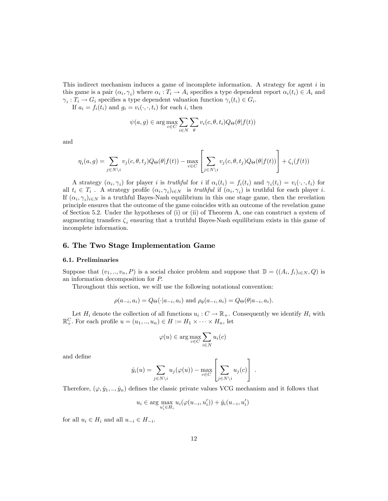This indirect mechanism induces a game of incomplete information. A strategy for agent i in this game is a pair  $(\alpha_i, \gamma_i)$  where  $\alpha_i : T_i \to A_i$  specifies a type dependent report  $\alpha_i(t_i) \in A_i$  and  $\gamma_i: T_i \to G_i$  specifies a type dependent valuation function  $\gamma_i(t_i) \in G_i$ .

If  $a_i = f_i(t_i)$  and  $g_i = v_i(\cdot, \cdot, t_i)$  for each i, then

$$
\psi(a,g) \in \arg\max_{c \in C} \sum_{i \in N} \sum_{\theta} v_i(c,\theta,t_i) Q_{\Theta}(\theta | f(t))
$$

and

$$
\eta_i(a,g) = \sum_{j \in N \setminus i} v_j(c,\theta,t_j) Q_{\Theta}(\theta|f(t)) - \max_{c \in C} \left[ \sum_{j \in N \setminus i} v_j(c,\theta,t_j) Q_{\Theta}(\theta|f(t)) \right] + \zeta_i(f(t))
$$

A strategy  $(\alpha_i, \gamma_i)$  for player *i* is *truthful* for *i* if  $\alpha_i(t_i) = f_i(t_i)$  and  $\gamma_i(t_i) = v_i(\cdot, \cdot, t_i)$  for all  $t_i \in T_i$ . A strategy profile  $(\alpha_i, \gamma_i)_{i \in N}$  is truthful if  $(\alpha_i, \gamma_i)$  is truthful for each player i. If  $(\alpha_i, \gamma_i)_{i \in \mathbb{N}}$  is a truthful Bayes-Nash equilibrium in this one stage game, then the revelation principle ensures that the outcome of the game coincides with an outcome of the revelation game of Section 5.2. Under the hypotheses of (i) or (ii) of Theorem A, one can construct a system of augmenting transfers  $\zeta_i$  ensuring that a truthful Bayes-Nash equilibrium exists in this game of incomplete information.

# 6. The Two Stage Implementation Game

#### 6.1. Preliminaries

Suppose that  $(v_1, ..., v_n, P)$  is a social choice problem and suppose that  $\mathbb{D} = ((A_i, f_i)_{i \in N}, Q)$  is an information decomposition for P:

Throughout this section, we will use the following notational convention:

$$
\rho(a_{-i}, a_i) = Q_{\Theta}(\cdot | a_{-i}, a_i) \text{ and } \rho_{\theta}(a_{-i}, a_i) = Q_{\Theta}(\theta | a_{-i}, a_i).
$$

Let  $H_i$  denote the collection of all functions  $u_i: C \to \mathbb{R}_+$ . Consequently we identify  $H_i$  with  $\mathbb{R}^C_+$ . For each profile  $u = (u_1, ..., u_n) \in H := H_1 \times \cdots \times H_n$ , let

$$
\varphi(u) \in \arg\max_{c \in C} \sum_{i \in N} u_i(c)
$$

and deÖne

$$
\hat{y}_i(u) = \sum_{j \in N \setminus i} u_j(\varphi(u)) - \max_{c \in C} \left[ \sum_{j \in N \setminus i} u_j(c) \right].
$$

Therefore,  $(\varphi, \hat{y}_1, \ldots, \hat{y}_n)$  defines the classic private values VCG mechanism and it follows that

$$
u_i \in \arg\max_{u'_i \in H_i} u_i(\varphi(u_{-i}, u'_i)) + \hat{y}_i(u_{-i}, u'_i)
$$

for all  $u_i \in H_i$  and all  $u_{-i} \in H_{-i}$ .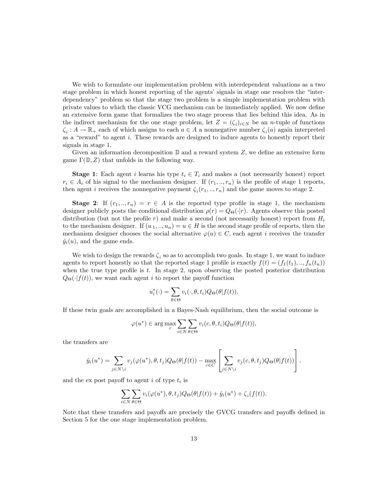We wish to formulate our implementation problem with interdependent valuations as a two stage problem in which honest reporting of the agents' signals in stage one resolves the "interdependencyî problem so that the stage two problem is a simple implementation problem with private values to which the classic VCG mechanism can be immediately applied. We now define an extensive form game that formalizes the two stage process that lies behind this idea. As in the indirect mechanism for the one stage problem, let  $Z = (\zeta_i)_{i \in N}$  be an *n*-tuple of functions  $\zeta_i: A \to \mathbb{R}_+$  each of which assigns to each  $a \in A$  a nonnegative number  $\zeta_i(a)$  again interpreted as a "reward" to agent  $i$ . These rewards are designed to induce agents to honestly report their signals in stage 1.

Given an information decomposition  $\mathbb D$  and a reward system  $Z$ , we define an extensive form game  $\Gamma(\mathbb{D}, Z)$  that unfolds in the following way.

**Stage 1:** Each agent i learns his type  $t_i \in T_i$  and makes a (not necessarily honest) report  $r_i \in A_i$  of his signal to the mechanism designer. If  $(r_1, ..., r_n)$  is the profile of stage 1 reports, then agent *i* receives the nonnegative payment  $\zeta_i(r_1, \ldots, r_n)$  and the game moves to stage 2.

**Stage 2:** If  $(r_1, ..., r_n) = r \in A$  is the reported type profile in stage 1, the mechanism designer publicly posts the conditional distribution  $\rho(r) = Q_{\Theta}(\cdot|r)$ . Agents observe this posted distribution (but not the profile r) and make a second (not necessarily honest) report from  $H_i$ to the mechanism designer. If  $(u_1, ..., u_n) = u \in H$  is the second stage profile of reports, then the mechanism designer chooses the social alternative  $\varphi(u) \in C$ , each agent i receives the transfer  $\hat{y}_i(u)$ , and the game ends.

We wish to design the rewards  $\zeta_i$  so as to accomplish two goals. In stage 1, we want to induce agents to report honestly so that the reported stage 1 profile is exactly  $f(t) = (f_1(t_1),...,f_n(t_n))$ when the true type profile is  $t$ . In stage 2, upon observing the posted posterior distribution  $Q_{\Theta}(\cdot|f(t))$ , we want each agent i to report the payoff function

$$
u_i^*(\cdot) = \sum_{\theta \in \Theta} v_i(\cdot, \theta, t_i) Q_{\Theta}(\theta | f(t)).
$$

If these twin goals are accomplished in a Bayes-Nash equilibrium, then the social outcome is

$$
\varphi(u^*) \in \arg\max_{c} \sum_{i \in N} \sum_{\theta \in \Theta} v_i(c, \theta, t_i) Q_{\Theta}(\theta | f(t)),
$$

the transfers are

$$
\hat{y}_i(u^*) = \sum_{j \in N \setminus i} v_j(\varphi(u^*), \theta, t_j) Q_{\Theta}(\theta | f(t)) - \max_{c \in C} \left[ \sum_{j \in N \setminus i} v_j(c, \theta, t_j) Q_{\Theta}(\theta | f(t)) \right].
$$

and the ex post payoff to agent  $i$  of type  $t_i$  is

$$
\sum_{i\in N}\sum_{\theta\in\Theta}v_i(\varphi(u^*),\theta,t_j)Q_{\Theta}(\theta|f(t))+\hat{y}_i(u^*)+\zeta_i(f(t)).
$$

Note that these transfers and payoffs are precisely the GVCG transfers and payoffs defined in Section 5 for the one stage implementation problem.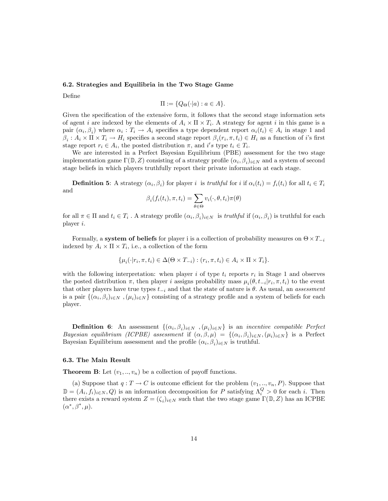### 6.2. Strategies and Equilibria in the Two Stage Game

Define

$$
\Pi := \{Q_{\Theta}(\cdot | a) : a \in A\}.
$$

Given the specification of the extensive form, it follows that the second stage information sets of agent i are indexed by the elements of  $A_i \times \Pi \times T_i$ . A strategy for agent i in this game is a pair  $(\alpha_i, \beta_i)$  where  $\alpha_i : T_i \to A_i$  specifies a type dependent report  $\alpha_i(t_i) \in A_i$  in stage 1 and  $\beta_i: A_i \times \Pi \times T_i \to H_i$  specifies a second stage report  $\beta_i(r_i, \pi, t_i) \in H_i$  as a function of i's first stage report  $r_i \in A_i$ , the posted distribution  $\pi$ , and i's type  $t_i \in T_i$ .

We are interested in a Perfect Bayesian Equilibrium (PBE) assessment for the two stage implementation game  $\Gamma(\mathbb{D}, Z)$  consisting of a strategy profile  $(\alpha_i, \beta_i)_{i \in N}$  and a system of second stage beliefs in which players truthfully report their private information at each stage.

**Definition 5:** A strategy  $(\alpha_i, \beta_i)$  for player i is truthful for i if  $\alpha_i(t_i) = f_i(t_i)$  for all  $t_i \in T_i$ and

$$
\beta_i(f_i(t_i), \pi, t_i) = \sum_{\theta \in \Theta} v_i(\cdot, \theta, t_i) \pi(\theta)
$$

for all  $\pi \in \Pi$  and  $t_i \in T_i$ . A strategy profile  $(\alpha_i, \beta_i)_{i \in N}$  is truthful if  $(\alpha_i, \beta_i)$  is truthful for each player  $i$ .

Formally, a system of beliefs for player i is a collection of probability measures on  $\Theta \times T_{-i}$ indexed by  $A_i \times \Pi \times T_i$ , i.e., a collection of the form

$$
\{\mu_i(\cdot|r_i, \pi, t_i) \in \Delta(\Theta \times T_{-i}) : (r_i, \pi, t_i) \in A_i \times \Pi \times T_i\}.
$$

with the following interpretation: when player i of type  $t_i$  reports  $r_i$  in Stage 1 and observes the posted distribution  $\pi$ , then player i assigns probability mass  $\mu_i(\theta, t_{-i}|r_i, \pi, t_i)$  to the event that other players have true types  $t_{-i}$  and that the state of nature is  $\theta$ . As usual, an assessment is a pair  $\{(\alpha_i, \beta_i)_{i \in N}, (\mu_i)_{i \in N}\}\)$  consisting of a strategy profile and a system of beliefs for each player.

**Definition 6:** An assessment  $\{(\alpha_i, \beta_i)_{i \in N}, (\mu_i)_{i \in N}\}\$ is an *incentive compatible Perfect* Bayesian equilibrium (ICPBE) assessment if  $(\alpha, \beta, \mu) = \{(\alpha_i, \beta_i)_{i \in N}, (\mu_i)_{i \in N}\}\$ is a Perfect Bayesian Equilibrium assessment and the profile  $(\alpha_i, \beta_i)_{i \in N}$  is truthful.

#### 6.3. The Main Result

**Theorem B:** Let  $(v_1, ..., v_n)$  be a collection of payoff functions.

(a) Suppose that  $q: T \to C$  is outcome efficient for the problem  $(v_1, \ldots, v_n, P)$ . Suppose that  $\mathbb{D}=(A_i,f_i)_{i\in N},Q)$  is an information decomposition for P satisfying  $\Lambda_i^Q>0$  for each i. Then there exists a reward system  $Z = (\zeta_i)_{i \in N}$  such that the two stage game  $\Gamma(\mathbb{D}, Z)$  has an ICPBE  $(\alpha^*, \beta^*, \mu).$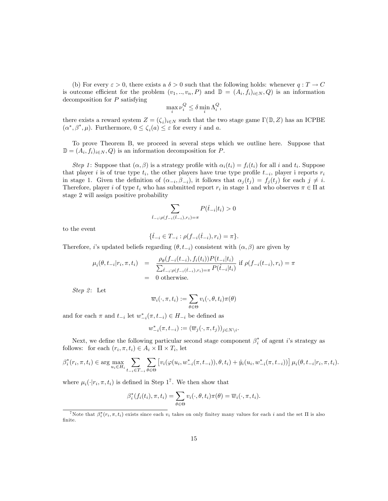(b) For every  $\varepsilon > 0$ , there exists a  $\delta > 0$  such that the following holds: whenever  $q: T \to C$ is outcome efficient for the problem  $(v_1, ..., v_n, P)$  and  $\mathbb{D} = (A_i, f_i)_{i \in N}, Q$  is an information decomposition for P satisfying

$$
\max_i \nu_i^Q \le \delta \min_i \Lambda_i^Q,
$$

there exists a reward system  $Z = (\zeta_i)_{i \in N}$  such that the two stage game  $\Gamma(\mathbb{D}, Z)$  has an ICPBE  $(\alpha^*, \beta^*, \mu)$ . Furthermore,  $0 \le \zeta_i(a) \le \varepsilon$  for every i and a.

To prove Theorem B, we proceed in several steps which we outline here. Suppose that  $\mathbb{D} = (A_i, f_i)_{i \in N}, Q$  is an information decomposition for P.

Step 1: Suppose that  $(\alpha, \beta)$  is a strategy profile with  $\alpha_i(t_i) = f_i(t_i)$  for all i and  $t_i$ . Suppose that player *i* is of true type  $t_i$ , the other players have true type profile  $t_{-i}$ , player i reports  $r_i$ in stage 1. Given the definition of  $(\alpha_{-i}, \beta_{-i})$ , it follows that  $\alpha_j(t_j) = f_j(t_j)$  for each  $j \neq i$ . Therefore, player *i* of type  $t_i$  who has submitted report  $r_i$  in stage 1 and who observes  $\pi \in \Pi$  at stage 2 will assign positive probability

$$
\sum_{\hat{t}_{-i}:\rho(f_{-i}(\hat{t}_{-i}),r_i)=\pi} P(\hat{t}_{-i}|t_i) > 0
$$

to the event

$$
\{\hat{t}_{-i} \in T_{-i} : \rho(f_{-i}(\hat{t}_{-i}), r_i) = \pi\}.
$$

Therefore, *i*'s updated beliefs regarding  $(\theta, t_{-i})$  consistent with  $(\alpha, \beta)$  are given by

$$
\mu_i(\theta, t_{-i}|r_i, \pi, t_i) = \frac{\rho_\theta(f_{-i}(t_{-i}), f_i(t_i))P(t_{-i}|t_i)}{\sum_{\hat{t}_{-i}:\rho(f_{-i}(\hat{t}_{-i}), r_i) = \pi} P(\hat{t}_{-i}|t_i)} \text{ if } \rho(f_{-i}(t_{-i}), r_i) = \pi
$$
  
= 0 otherwise.

Step 2: Let

$$
\overline{w}_i(\cdot,\pi,t_i):=\sum_{\theta\in\Theta}v_i(\cdot,\theta,t_i)\pi(\theta)
$$

and for each  $\pi$  and  $t_{-i}$  let  $w_{-i}^*(\pi, t_{-i}) \in H_{-i}$  be defined as

$$
w_{-i}^*(\pi, t_{-i}) := (\overline{w}_j(\cdot, \pi, t_j))_{j \in N \setminus i}
$$

Next, we define the following particular second stage component  $\beta_i^*$  of agent *i*'s strategy as follows: for each  $(r_i, \pi, t_i) \in A_i \times \Pi \times T_i$ , let

$$
\beta_i^*(r_i, \pi, t_i) \in \arg \max_{u_i \in H_i} \sum_{t_{-i} \in T_{-i}} \sum_{\theta \in \Theta} \left[ v_i(\varphi(u_i, w_{-i}^*(\pi, t_{-i})), \theta, t_i) + \hat{y}_i(u_i, w_{-i}^*(\pi, t_{-i})) \right] \mu_i(\theta, t_{-i} | r_i, \pi, t_i).
$$

:

where  $\mu_i(\cdot|r_i, \pi, t_i)$  is defined in Step 1<sup>7</sup>. We then show that

$$
\beta_i^*(f_i(t_i), \pi, t_i) = \sum_{\theta \in \Theta} v_i(\cdot, \theta, t_i) \pi(\theta) = \overline{w}_i(\cdot, \pi, t_i).
$$

<sup>&</sup>lt;sup>7</sup>Note that  $\beta_i^*(r_i, \pi, t_i)$  exists since each  $v_i$  takes on only finitey many values for each i and the set  $\Pi$  is also finite.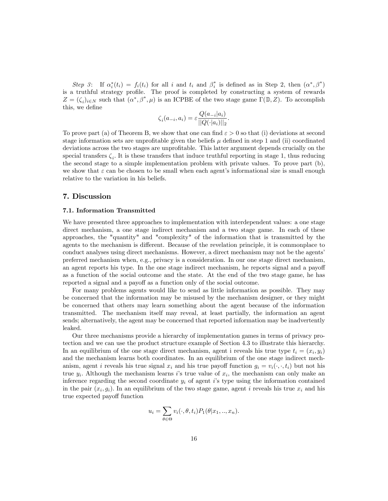Step 3: If  $\alpha_i^*(t_i) = f_i(t_i)$  for all i and  $t_i$  and  $\beta_i^*$  is defined as in Step 2, then  $(\alpha^*, \beta^*)$ is a truthful strategy profile. The proof is completed by constructing a system of rewards  $Z = (\zeta_i)_{i \in N}$  such that  $(\alpha^*, \beta^*, \mu)$  is an ICPBE of the two stage game  $\Gamma(\mathbb{D}, Z)$ . To accomplish this, we define

$$
\zeta_i(a_{-i}, a_i) = \varepsilon \frac{Q(a_{-i}|a_i)}{||Q(\cdot|a_i)||_2}.
$$

To prove part (a) of Theorem B, we show that one can find  $\varepsilon > 0$  so that (i) deviations at second stage information sets are unprofitable given the beliefs  $\mu$  defined in step 1 and (ii) coordinated deviations across the two stages are unprofitable. This latter argument depends crucially on the special transfers  $\zeta_i$ . It is these transfers that induce truthful reporting in stage 1, thus reducing the second stage to a simple implementation problem with private values. To prove part (b), we show that  $\varepsilon$  can be chosen to be small when each agent's informational size is small enough relative to the variation in his beliefs.

# 7. Discussion

#### 7.1. Information Transmitted

We have presented three approaches to implementation with interdependent values: a one stage direct mechanism, a one stage indirect mechanism and a two stage game. In each of these approaches, the "quantity" and "complexity" of the information that is transmitted by the agents to the mechanism is different. Because of the revelation principle, it is commonplace to conduct analyses using direct mechanisms. However, a direct mechanism may not be the agents' preferred mechanism when, e.g., privacy is a consideration. In our one stage direct mechanism, an agent reports his type. In the one stage indirect mechanism, he reports signal and a payoff as a function of the social outcome and the state. At the end of the two stage game, he has reported a signal and a payoff as a function only of the social outcome.

For many problems agents would like to send as little information as possible. They may be concerned that the information may be misused by the mechanism designer, or they might be concerned that others may learn something about the agent because of the information transmitted. The mechanism itself may reveal, at least partially, the information an agent sends; alternatively, the agent may be concerned that reported information may be inadvertently leaked.

Our three mechanisms provide a hierarchy of implementation games in terms of privacy protection and we can use the product structure example of Section 4.3 to illustrate this hierarchy. In an equilibrium of the one stage direct mechanism, agent i reveals his true type  $t_i = (x_i, y_i)$ and the mechanism learns both coordinates. In an equilibrium of the one stage indirect mechanism, agent i reveals his true signal  $x_i$  and his true payoff function  $g_i = v_i(\cdot, \cdot, t_i)$  but not his true  $y_i$ . Although the mechanism learns is true value of  $x_i$ , the mechanism can only make an inference regarding the second coordinate  $y_i$  of agent is type using the information contained in the pair  $(x_i, g_i)$ . In an equilibrium of the two stage game, agent i reveals his true  $x_i$  and his true expected payoff function

$$
u_i = \sum_{\theta \in \Theta} v_i(\cdot, \theta, t_i) P_1(\theta | x_1, \dots, x_n).
$$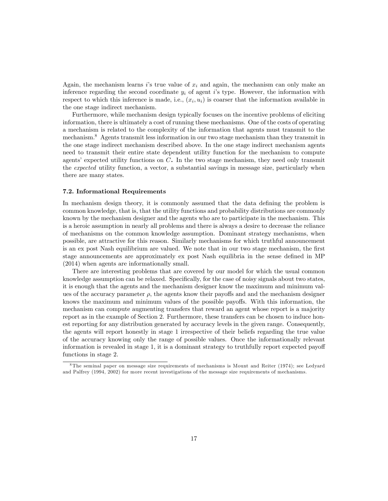Again, the mechanism learns is true value of  $x_i$  and again, the mechanism can only make an inference regarding the second coordinate  $y_i$  of agent is type. However, the information with respect to which this inference is made, i.e.,  $(x_i, u_i)$  is coarser that the information available in the one stage indirect mechanism.

Furthermore, while mechanism design typically focuses on the incentive problems of eliciting information, there is ultimately a cost of running these mechanisms. One of the costs of operating a mechanism is related to the complexity of the information that agents must transmit to the mechanism.<sup>8</sup> Agents transmit less information in our two stage mechanism than they transmit in the one stage indirect mechanism described above. In the one stage indirect mechanism agents need to transmit their entire state dependent utility function for the mechanism to compute agents' expected utility functions on  $C$ . In the two stage mechanism, they need only transmit the expected utility function, a vector, a substantial savings in message size, particularly when there are many states.

#### 7.2. Informational Requirements

In mechanism design theory, it is commonly assumed that the data defining the problem is common knowledge, that is, that the utility functions and probability distributions are commonly known by the mechanism designer and the agents who are to participate in the mechanism. This is a heroic assumption in nearly all problems and there is always a desire to decrease the reliance of mechanisms on the common knowledge assumption. Dominant strategy mechanisms, when possible, are attractive for this reason. Similarly mechanisms for which truthful announcement is an ex post Nash equilibrium are valued. We note that in our two stage mechanism, the first stage announcements are approximately ex post Nash equilibria in the sense defined in MP (2014) when agents are informationally small.

There are interesting problems that are covered by our model for which the usual common knowledge assumption can be relaxed. Specifically, for the case of noisy signals about two states, it is enough that the agents and the mechanism designer know the maximum and minimum values of the accuracy parameter  $\rho$ , the agents know their payoffs and and the mechanism designer knows the maximum and minimum values of the possible payoffs. With this information, the mechanism can compute augmenting transfers that reward an agent whose report is a majority report as in the example of Section 2. Furthermore, these transfers can be chosen to induce honest reporting for any distribution generated by accuracy levels in the given range. Consequently, the agents will report honestly in stage 1 irrespective of their beliefs regarding the true value of the accuracy knowing only the range of possible values. Once the informationally relevant information is revealed in stage  $1$ , it is a dominant strategy to truthfully report expected payoff functions in stage 2.

 $8$ The seminal paper on message size requirements of mechanisms is Mount and Reiter (1974); see Ledyard and Palfrey (1994, 2002) for more recent investigations of the message size requirements of mechanisms.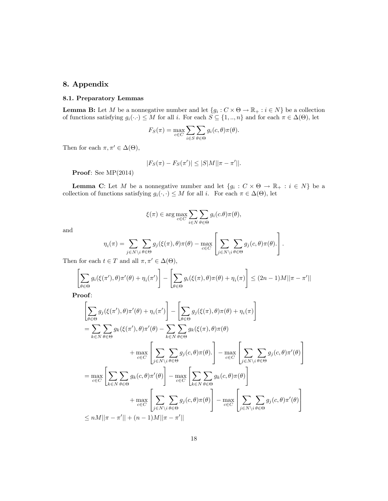# 8. Appendix

## 8.1. Preparatory Lemmas

**Lemma B:** Let M be a nonnegative number and let  $\{g_i : C \times \Theta \to \mathbb{R}_+ : i \in N\}$  be a collection of functions satisfying  $g_i(\cdot) \leq M$  for all i. For each  $S \subseteq \{1, ..., n\}$  and for each  $\pi \in \Delta(\Theta)$ , let

$$
F_S(\pi) = \max_{c \in C} \sum_{i \in S} \sum_{\theta \in \Theta} g_i(c, \theta) \pi(\theta).
$$

Then for each  $\pi, \pi' \in \Delta(\Theta)$ ,

$$
|F_S(\pi) - F_S(\pi')| \le |S|M||\pi - \pi'||.
$$

Proof: See MP(2014)

**Lemma C:** Let M be a nonnegative number and let  $\{g_i : C \times \Theta \to \mathbb{R}_+ : i \in N\}$  be a collection of functions satisfying  $g_i(\cdot, \cdot) \leq M$  for all i. For each  $\pi \in \Delta(\Theta)$ , let

$$
\xi(\pi) \in \arg\max_{c \in C} \sum_{i \in N} \sum_{\theta \in \Theta} g_i(c.\theta) \pi(\theta),
$$

and

$$
\eta_i(\pi) = \sum_{j \in N \setminus i} \sum_{\theta \in \Theta} g_j(\xi(\pi), \theta) \pi(\theta) - \max_{c \in C} \left[ \sum_{j \in N \setminus i} \sum_{\theta \in \Theta} g_j(c, \theta) \pi(\theta) \right].
$$

Then for each  $t \in T$  and all  $\pi, \pi' \in \Delta(\Theta)$ ,

$$
\left[\sum_{\theta \in \Theta} g_i(\xi(\pi'), \theta) \pi'(\theta) + \eta_i(\pi')\right] - \left[\sum_{\theta \in \Theta} g_i(\xi(\pi), \theta) \pi(\theta) + \eta_i(\pi)\right] \le (2n - 1)M||\pi - \pi'||
$$

Proof:

$$
\left[\sum_{\theta \in \Theta} g_j(\xi(\pi'), \theta) \pi'(\theta) + \eta_i(\pi')\right] - \left[\sum_{\theta \in \Theta} g_j(\xi(\pi), \theta) \pi(\theta) + \eta_i(\pi)\right]
$$
\n
$$
= \sum_{k \in N} \sum_{\theta \in \Theta} g_k(\xi(\pi'), \theta) \pi'(\theta) - \sum_{k \in N} \sum_{\theta \in \Theta} g_k(\xi(\pi), \theta) \pi(\theta)
$$
\n
$$
+ \max_{c \in C} \left[\sum_{j \in N \setminus i} \sum_{\theta \in \Theta} g_j(c, \theta) \pi(\theta)\right] - \max_{c \in C} \left[\sum_{j \in N \setminus i} \sum_{\theta \in \Theta} g_j(c, \theta) \pi'(\theta)\right]
$$
\n
$$
= \max_{c \in C} \left[\sum_{k \in N} \sum_{\theta \in \Theta} g_k(c, \theta) \pi'(\theta)\right] - \max_{c \in C} \left[\sum_{k \in N} \sum_{\theta \in \Theta} g_k(c, \theta) \pi(\theta)\right]
$$
\n
$$
+ \max_{c \in C} \left[\sum_{j \in N \setminus i} \sum_{\theta \in \Theta} g_j(c, \theta) \pi(\theta)\right] - \max_{c \in C} \left[\sum_{j \in N \setminus i} \sum_{\theta \in \Theta} g_j(c, \theta) \pi'(\theta)\right]
$$
\n
$$
\leq nM || \pi - \pi' || + (n - 1)M || \pi - \pi' ||
$$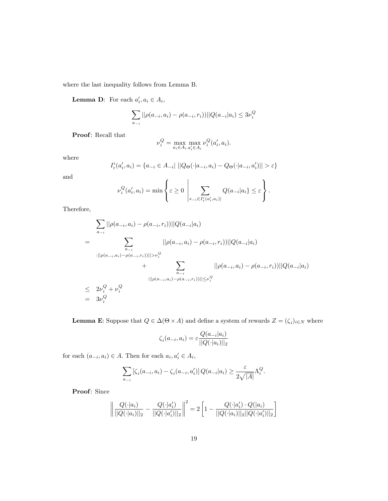where the last inequality follows from Lemma B.

**Lemma D:** For each  $a'_i, a_i \in A_i$ ,

$$
\sum_{a_{-i}} ||\rho(a_{-i}, a_i) - \rho(a_{-i}, r_i)||)Q(a_{-i}|a_i) \le 3\nu_i^Q
$$

Proof: Recall that

$$
\nu_i^Q = \max_{a_i \in A_i} \max_{a'_i \in A_i} \nu_i^Q(a'_i, a_i).
$$

where

$$
I_{\varepsilon}^{i}(a'_{i}, a_{i}) = \{a_{-i} \in A_{-i} | ||Q_{\Theta}(\cdot|a_{-i}, a_{i}) - Q_{\Theta}(\cdot|a_{-i}, a'_{i})|| > \varepsilon\}
$$

and

$$
\nu_i^Q(a_i',a_i) = \min \left\{ \varepsilon \ge 0 \ \left| \sum_{s_{-i} \in I_{\varepsilon}^i(a_i',a_i)|} Q(a_{-i}|a_i) \le \varepsilon \right. \right\}.
$$

Therefore,

$$
\sum_{a_{-i}} ||\rho(a_{-i}, a_i) - \rho(a_{-i}, r_i))||Q(a_{-i}|a_i)
$$
\n
$$
= \sum_{\substack{a_{-i} \\ a_{-i}}} ||\rho(a_{-i}, a_i) - \rho(a_{-i}, r_i))||Q(a_{-i}|a_i)
$$
\n
$$
+ \sum_{\substack{a_{-i} \\ a_{-i}}} ||\rho(a_{-i}, a_i) - \rho(a_{-i}, r_i))||Q(a_{-i}|a_i)
$$
\n
$$
\leq 2\nu_i^Q + \nu_i^Q
$$
\n
$$
= 3\nu_i^Q
$$

**Lemma E**: Suppose that  $Q \in \Delta(\Theta \times A)$  and define a system of rewards  $Z = (\zeta_i)_{i \in N}$  where

$$
\zeta_i(a_{-i}, a_i) = \varepsilon \frac{Q(a_{-i}|a_i)}{||Q(\cdot|a_i)||_2}
$$

for each  $(a_{-i}, a_i) \in A$ . Then for each  $a_i, a'_i \in A_i$ ,

$$
\sum_{a_{-i}} \left[ \zeta_i(a_{-i}, a_i) - \zeta_i(a_{-i}, a'_i) \right] Q(a_{-i}|a_i) \ge \frac{\varepsilon}{2\sqrt{|A|}} \Lambda_i^Q.
$$

Proof: Since

$$
\left\|\frac{Q(\cdot|a_i)}{||Q(\cdot|a_i)||_2} - \frac{Q(\cdot|a_i')}{||Q(\cdot|a_i')||_2}\right\|^2 = 2\left[1 - \frac{Q(\cdot|a_i')\cdot Q(|a_i)}{||Q(\cdot|a_i)||_2||Q(\cdot|a_i')||_2}\right]
$$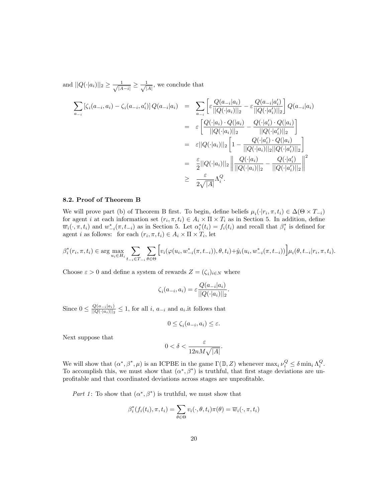and  $||Q(\cdot|a_i)||_2 \ge \frac{1}{\sqrt{|A-i|}} \ge \frac{1}{\sqrt{|A|}}$ , we conclude that

$$
\sum_{a_{-i}} [\zeta_i(a_{-i}, a_i) - \zeta_i(a_{-i}, a'_i)] Q(a_{-i}|a_i) = \sum_{a_{-i}} \left[ \varepsilon \frac{Q(a_{-i}|a_i)}{||Q(\cdot|a_i)||_2} - \varepsilon \frac{Q(a_{-i}|a'_i)}{||Q(\cdot|a'_i)||_2} \right] Q(a_{-i}|a_i)
$$
  
\n
$$
= \varepsilon \left[ \frac{Q(\cdot|a_i) \cdot Q(|a_i)}{||Q(\cdot|a_i)||_2} - \frac{Q(\cdot|a'_i) \cdot Q(|a_i)}{||Q(\cdot|a'_i)||_2} \right]
$$
  
\n
$$
= \varepsilon ||Q(\cdot|a_i)||_2 \left[ 1 - \frac{Q(\cdot|a'_i) \cdot Q(|a_i)}{||Q(\cdot|a_i)||_2||Q(\cdot|a'_i)||_2} \right]
$$
  
\n
$$
= \frac{\varepsilon}{2} ||Q(\cdot|a_i)||_2 \left\| \frac{Q(\cdot|a_i)}{||Q(\cdot|a_i)||_2} - \frac{Q(\cdot|a'_i)}{||Q(\cdot|a'_i)||_2} \right\|^2
$$
  
\n
$$
\geq \frac{\varepsilon}{2\sqrt{|A|}} \Lambda_i^Q.
$$

#### 8.2. Proof of Theorem B

We will prove part (b) of Theorem B first. To begin, define beliefs  $\mu_i(\cdot|r_i, \pi, t_i) \in \Delta(\Theta \times T_{-i})$ for agent *i* at each information set  $(r_i, \pi, t_i) \in A_i \times \Pi \times T_i$  as in Section 5. In addition, define  $\overline{w}_i(\cdot,\pi,t_i)$  and  $w^*_{-i}(\pi,t_{-i})$  as in Section 5. Let  $\alpha_i^*(t_i) = f_i(t_i)$  and recall that  $\beta_i^*$  is defined for agent *i* as follows: for each  $(r_i, \pi, t_i) \in A_i \times \Pi \times T_i$ , let

$$
\beta_i^*(r_i, \pi, t_i) \in \arg \max_{u_i \in H_i} \sum_{t_{-i} \in T_{-i}} \sum_{\theta \in \Theta} \left[ v_i(\varphi(u_i, w_{-i}^*(\pi, t_{-i})), \theta, t_i) + \hat{y}_i(u_i, w_{-i}^*(\pi, t_{-i})) \right] \mu_i(\theta, t_{-i} | r_i, \pi, t_i)
$$

Choose  $\varepsilon > 0$  and define a system of rewards  $Z = (\zeta_i)_{i \in N}$  where

$$
\zeta_i(a_{-i}, a_i) = \varepsilon \frac{Q(a_{-i}|a_i)}{||Q(\cdot|a_i)||_2}.
$$

Since  $0 \leq \frac{Q(a_{-i}|a_i)}{||Q(\cdot|a_i)||_2} \leq 1$ , for all *i*,  $a_{-i}$  and  $a_i$ , it follows that

$$
0 \le \zeta_i(a_{-i}, a_i) \le \varepsilon.
$$

Next suppose that

$$
0 < \delta < \frac{\varepsilon}{12nM\sqrt{|A|}}.
$$

We will show that  $(\alpha^*, \beta^*, \mu)$  is an ICPBE in the game  $\Gamma(\mathbb{D}, Z)$  whenever  $\max_i \nu_i^Q \leq \delta \min_i \Lambda_i^Q$ . To accomplish this, we must show that  $(\alpha^*, \beta^*)$  is truthful, that first stage deviations are unprofitable and that coordinated deviations across stages are unprofitable.

Part 1: To show that  $(\alpha^*, \beta^*)$  is truthful, we must show that

$$
\beta_i^*(f_i(t_i), \pi, t_i) = \sum_{\theta \in \Theta} v_i(\cdot, \theta, t_i) \pi(\theta) = \overline{w}_i(\cdot, \pi, t_i)
$$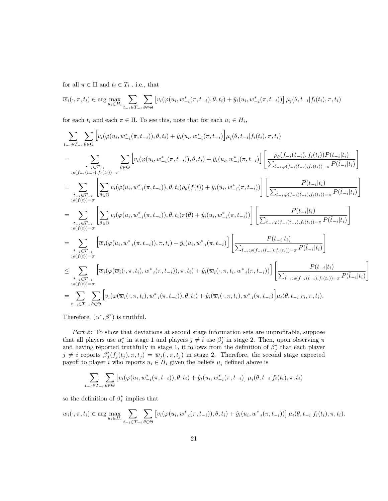for all  $\pi \in \Pi$  and  $t_i \in T_i$  . i.e., that

$$
\overline{w}_{i}(\cdot,\pi,t_{i}) \in \arg\max_{u_{i}\in H_{i}} \sum_{t_{-i}\in T_{-i}} \sum_{\theta\in\Theta} \left[ v_{i}(\varphi(u_{i},w_{-i}^{*}(\pi,t_{-i}),\theta,t_{i}) + \hat{y}_{i}(u_{i},w_{-i}^{*}(\pi,t_{-i})) \right] \mu_{i}(\theta,t_{-i}|f_{i}(t_{i}),\pi,t_{i})
$$

for each  $t_i$  and each  $\pi \in \Pi$ . To see this, note that for each  $u_i \in H_i$ ,

$$
\begin{split} &\sum_{t-i\in T_{-i}}\sum_{\theta\in\Theta}\Bigl[v_i(\varphi(u_i,w_{-i}^*(\pi,t_{-i})),\theta,t_i)+\hat{y}_i(u_i,w_{-i}^*(\pi,t_{-i})\Bigr]\mu_i(\theta,t_{-i}|f_i(t_i),\pi,t_i)\\ &=\sum_{\substack{t-i\in T_{-i}\\:\rho(f_{-i}(t_{-i}),f_i(t_i))=\pi}}\sum_{\theta\in\Theta}\Bigl[v_i(\varphi(u_i,w_{-i}^*(\pi,t_{-i})),\theta,t_i)+\hat{y}_i(u_i,w_{-i}^*(\pi,t_{-i})\Bigr]\Biggl[\frac{\rho_\theta(f_{-i}(t_{-i}),f_i(t_i))P(t_{-i}|t_i)}{\sum_{\hat{t}_{-i}: \rho(f_{-i}(t_{-i}),f_i(t_i))=\pi}P(\hat{t}_{-i}|t_i)}\Bigr]\\ &=\sum_{\substack{t_{-i}\in T_{-i}\\:\rho(f(t))=\pi}}\Biggl[\sum_{\theta\in\Theta}v_i(\varphi(u_i,w_{-i}^*(\pi,t_{-i})),\theta,t_i)\rho_\theta(f(t))+\hat{y}_i(u_i,w_{-i}^*(\pi,t_{-i}))\Biggr]\Biggl[\frac{P(t_{-i}|t_i)}{\sum_{\hat{t}_{-i}: \rho(f_{-i}(t_{-i}),f_i(t_i))=\pi}P(\hat{t}_{-i}|t_i)}\Bigr]\\ &=\sum_{\substack{t_{-i}\in T_{-i}\\:\rho(f(t))=\pi}}\Biggl[\sum_{\theta\in\Theta}v_i(\varphi(u_i,w_{-i}^*(\pi,t_{-i})),\theta,t_i)\pi(\theta)+\hat{y}_i(u_i,w_{-i}^*(\pi,t_{-i}))\Biggr]\Biggl[\frac{P(t_{-i}|t_i)}{\sum_{\hat{t}_{-i}: \rho(f_{-i}(t_{-i}),f_i(t_i))=\pi}P(\hat{t}_{-i}|t_i)}\Bigr]\\ &=\sum_{\substack{t_{-i}\in T_{-i}\\:\rho(f(t))=\pi}}\Biggl[\overline{w}_i(\varphi(w_i,v_{-i}^*(\pi,t_{-i})),\pi,t_i)+\hat{y}_i(\overline{w}_i(\cdot,\pi,t_i,w_{-i}^*(\pi,t_{-i})))\Biggr]\Biggl[\frac{P(t_{-i}|t_i)}{\sum_{\hat{t}_{-i}: \rho(f_{-i}(t_{-i}),f_i(t_i))=\pi}P(\hat{t}_{-i}|t_i)}\
$$

Therefore,  $(\alpha^*, \beta^*)$  is truthful.

Part 2: To show that deviations at second stage information sets are unprofitable, suppose that all players use  $\alpha_i^*$  in stage 1 and players  $j \neq i$  use  $\beta_j^*$  in stage 2. Then, upon observing  $\pi$  and having reported truthfully in stage 1, it follows from the definition of  $\beta_j^*$  that each player  $j \neq i$  reports  $\beta_j^*(f_j(t_j), \pi, t_j) = \overline{w}_j(\cdot, \pi, t_j)$  in stage 2. Therefore, the second stage expected payoff to player i who reports  $u_i \in H_i$  given the beliefs  $\mu_i$  defined above is

$$
\sum_{t_{-i}\in T_{-i}}\sum_{\theta\in\Theta}\left[v_i(\varphi(u_i,w_{-i}^*(\pi,t_{-i})),\theta,t_i)+\hat{y}_i(u_i,w_{-i}^*(\pi,t_{-i})\right]\mu_i(\theta,t_{-i}|f_i(t_i),\pi,t_i)
$$

so the definition of  $\beta_i^*$  implies that

$$
\overline{w}_i(\cdot, \pi, t_i) \in \arg \max_{u_i \in H_i} \sum_{t_{-i} \in T_{-i}} \sum_{\theta \in \Theta} \left[ v_i(\varphi(u_i, w_{-i}^*(\pi, t_{-i})), \theta, t_i) + \hat{y}_i(u_i, w_{-i}^*(\pi, t_{-i})) \right] \mu_i(\theta, t_{-i} | f_i(t_i), \pi, t_i).
$$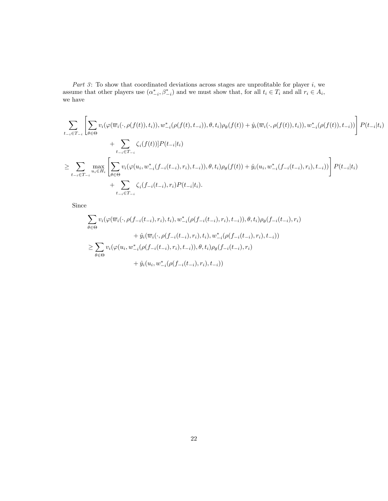Part 3: To show that coordinated deviations across stages are unprofitable for player i, we assume that other players use  $(\alpha^*_{-i}, \beta^*_{-i})$  and we must show that, for all  $t_i \in T_i$  and all  $r_i \in A_i$ , we have

$$
\sum_{t_{-i}\in T_{-i}} \left[ \sum_{\theta \in \Theta} v_i(\varphi(\overline{w}_i(\cdot,\rho(f(t)),t_i)),w_{-i}^*(\rho(f(t),t_{-i})),\theta,t_i)\rho_{\theta}(f(t)) + \hat{y}_i(\overline{w}_i(\cdot,\rho(f(t)),t_i)),w_{-i}^*(\rho(f(t)),t_{-i})) \right] P(t_{-i}|t_i) + \sum_{t_{-i}\in T_{-i}} \zeta_i(f(t))] P(t_{-i}|t_i) \geq \sum_{t_{-i}\in T_{-i}} \max_{u_i \in H_i} \left[ \sum_{\theta \in \Theta} v_i(\varphi(u_i,w_{-i}^*(f_{-i}(t_{-i}),r_i),t_{-i})),\theta,t_i)\rho_{\theta}(f(t)) + \hat{y}_i(u_i,w_{-i}^*(f_{-i}(t_{-i}),r_i),t_{-i})) \right] P(t_{-i}|t_i) + \sum_{t_{-i}\in T_{-i}} \zeta_i(f_{-i}(t_{-i}),r_i) P(t_{-i}|t_i).
$$

Since

$$
\sum_{\theta \in \Theta} v_i(\varphi(\overline{w}_i(\cdot, \rho(f_{-i}(t_{-i}), r_i), t_i), w_{-i}^*(\rho(f_{-i}(t_{-i}), r_i), t_{-i})), \theta, t_i)\rho_{\theta}(f_{-i}(t_{-i}), r_i) \n+ \hat{y}_i(\overline{w}_i(\cdot, \rho(f_{-i}(t_{-i}), r_i), t_i), w_{-i}^*(\rho(f_{-i}(t_{-i}), r_i), t_{-i})) \n\ge \sum_{\theta \in \Theta} v_i(\varphi(u_i, w_{-i}^*(\rho(f_{-i}(t_{-i}), r_i), t_{-i})), \theta, t_i)\rho_{\theta}(f_{-i}(t_{-i}), r_i) \n+ \hat{y}_i(u_i, w_{-i}^*(\rho(f_{-i}(t_{-i}), r_i), t_{-i}))
$$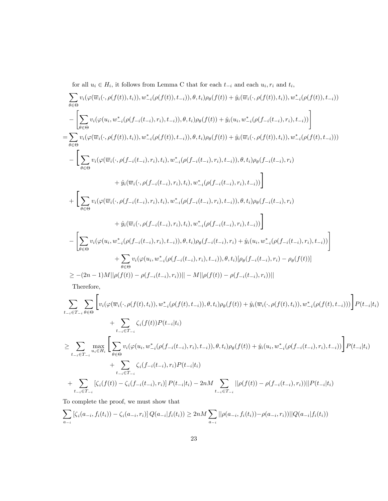for all  $u_i \in H_i$ , it follows from Lemma C that for each  $t_{-i}$  and each  $u_i, r_i$  and  $t_i$ ,

$$
\sum_{\theta \in \Theta} v_{i}(\varphi(\overline{w}_{i}(\cdot,\rho(f(t)),t_{i})),w_{-i}^{*}(\rho(f(t)),t_{-i})),\theta,t_{i})\rho_{\theta}(f(t)) + \hat{y}_{i}(\overline{w}_{i}(\cdot,\rho(f(t)),t_{i})),w_{-i}^{*}(\rho(f(t)),t_{-i}))
$$
\n
$$
-\left[\sum_{\theta \in \Theta} v_{i}(\varphi(u_{i},w_{-i}^{*}(\rho(f_{-i}(t_{-i}),r_{i}),t_{-i})),\theta,t_{i})\rho_{\theta}(f(t)) + \hat{y}_{i}(u_{i},w_{-i}^{*}(\rho(f_{-i}(t_{-i}),r_{i}),t_{-i}))\right]
$$
\n
$$
=\sum_{\theta \in \Theta} v_{i}(\varphi(\overline{w}_{i}(\cdot,\rho(f(t)),t_{i})),w_{-i}^{*}(\rho(f(t)),t_{-i})),\theta,t_{i})\rho_{\theta}(f(t)) + \hat{y}_{i}(\overline{w}_{i}(\cdot,\rho(f(t)),t_{i})),w_{-i}^{*}(\rho(f(t),t_{-i})))
$$
\n
$$
-\left[\sum_{\theta \in \Theta} v_{i}(\varphi(\overline{w}_{i}(\cdot,\rho(f_{-i}(t_{-i}),r_{i}),t_{i}),w_{-i}^{*}(\rho(f_{-i}(t_{-i}),r_{i}),t_{-i})),\theta,t_{i})\rho_{\theta}(f_{-i}(t_{-i}),r_{i})\right]
$$
\n
$$
+\hat{y}_{i}(\overline{w}_{i}(\cdot,\rho(f_{-i}(t_{-i}),r_{i}),t_{i}),w_{-i}^{*}(\rho(f_{-i}(t_{-i}),r_{i}),t_{-i})),\theta,t_{i})\rho_{\theta}(f_{-i}(t_{-i}),r_{i})
$$
\n
$$
+\hat{y}_{i}(\overline{w}_{i}(\cdot,\rho(f_{-i}(t_{-i}),r_{i}),t_{i}),w_{-i}^{*}(\rho(f_{-i}(t_{-i}),r_{i}),t_{-i}))\right]
$$
\n
$$
-\left[\sum_{\theta \in \Theta} v_{i}(\varphi(u_{i},w_{-i}^{*}(\rho(f_{-i}(t_{-i}),r_{i}),t_{-i})),\theta,t_{i})\rho_{\theta}(f_{-i}(t_{-i}),r_{i}),t_{-i}))\right
$$

Therefore,

$$
\sum_{t_{-i}\in T_{-i}}\sum_{\theta\in\Theta}\left[v_{i}(\varphi(\overline{w}_{i}(\cdot,\rho(f(t),t_{i})),w_{-i}^{*}(\rho(f(t),t_{-i})),\theta,t_{i})\rho_{\theta}(f(t)) + \hat{y}_{i}(\overline{w}_{i}(\cdot,\rho(f(t),t_{i})),w_{-i}^{*}(\rho(f(t),t_{-i})))\right]P(t_{-i}|t_{i}) + \sum_{t_{-i}\in T_{-i}}\zeta_{i}(f(t))P(t_{-i}|t_{i})
$$
\n
$$
\geq \sum_{t_{-i}\in T_{-i}}\max_{u_{i}\in H_{i}}\left[\sum_{\theta\in\Theta}v_{i}(\varphi(u_{i},w_{-i}^{*}(\rho(f_{-i}(t_{-i}),r_{i}),t_{-i})),\theta,t_{i})\rho_{\theta}(f(t)) + \hat{y}_{i}(u_{i},w_{-i}^{*}(\rho(f_{-i}(t_{-i}),r_{i}),t_{-i}))\right]P(t_{-i}|t_{i}) + \sum_{t_{-i}\in T_{-i}}\zeta_{i}(f_{-i}(t_{-i}),r_{i})P(t_{-i}|t_{i})
$$
\n
$$
+ \sum_{t_{-i}\in T_{-i}}\zeta_{i}(f_{-i}(t_{-i}),r_{i})P(t_{-i}|t_{i}) - 2nM\sum_{t_{-i}\in T_{-i}}||\rho(f(t)) - \rho(f_{-i}(t_{-i}),r_{i}))||P(t_{-i}|t_{i})
$$

To complete the proof, we must show that

$$
\sum_{a_{-i}} [\zeta_i(a_{-i}, f_i(t_i)) - \zeta_i(a_{-i}, r_i)] Q(a_{-i}|f_i(t_i)) \ge 2n M \sum_{a_{-i}} ||\rho(a_{-i}, f_i(t_i)) - \rho(a_{-i}, r_i))||Q(a_{-i}|f_i(t_i))
$$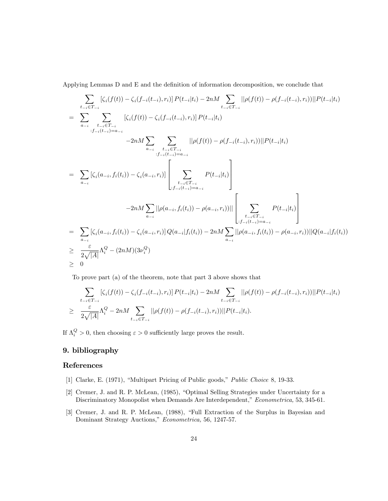Applying Lemmas D and E and the definition of information decomposition, we conclude that

$$
\sum_{t_{-i}\in T_{-i}} [\zeta_i(f(t)) - \zeta_i(f_{-i}(t_{-i}), r_i)] P(t_{-i}|t_i) - 2nM \sum_{t_{-i}\in T_{-i}} ||\rho(f(t)) - \rho(f_{-i}(t_{-i}), r_i)||P(t_{-i}|t_i)
$$
\n
$$
= \sum_{a_{-i}} \sum_{\substack{t_{-i}\in T_{-i} \\ \vdots \\t_{-i}(t_{-i})=a_{-i}}} [\zeta_i(f(t)) - \zeta_i(f_{-i}(t_{-i}), r_i)] P(t_{-i}|t_i)
$$
\n
$$
-2nM \sum_{a_{-i}} \sum_{\substack{t_{-i}\in T_{-i} \\ \vdots \\t_{-i}(t_{-i})=a_{-i}}} ||\rho(f(t)) - \rho(f_{-i}(t_{-i}), r_i)||P(t_{-i}|t_i)
$$
\n
$$
= \sum_{a_{-i}} [\zeta_i(a_{-i}, f_i(t_i)) - \zeta_i(a_{-i}, r_i)] \left[ \sum_{\substack{t_{-i}\in T_{-i} \\ \vdots \\t_{-i}(t_{-i})=a_{-i}}} P(t_{-i}|t_i) \right]
$$
\n
$$
-2nM \sum_{a_{-i}} ||\rho(a_{-i}, f_i(t_i)) - \rho(a_{-i}, r_i)|| \left[ \sum_{\substack{t_{-i}\in T_{-i} \\ \vdots \\t_{-i}(t_{-i})=a_{-i}}} P(t_{-i}|t_i) \right]
$$
\n
$$
= \sum_{a_{-i}} [\zeta_i(a_{-i}, f_i(t_i)) - \zeta_i(a_{-i}, r_i)] Q(a_{-i}|f_i(t_i)) - 2nM \sum_{a_{-i}} ||\rho(a_{-i}, f_i(t_i)) - \rho(a_{-i}, r_i)||Q(a_{-i}|f_i(t_i))
$$
\n
$$
\geq \frac{\varepsilon}{2\sqrt{|A|}} \Lambda_i^Q - (2nM)(3\nu_i^Q)
$$

To prove part (a) of the theorem, note that part 3 above shows that

$$
\sum_{t_{-i} \in T_{-i}} [\zeta_i(f(t)) - \zeta_i(f_{-i}(t_{-i}), r_i)] P(t_{-i}|t_i) - 2nM \sum_{t_{-i} \in T_{-i}} ||\rho(f(t)) - \rho(f_{-i}(t_{-i}), r_i)||P(t_{-i}|t_i) \n\geq \frac{\varepsilon}{2\sqrt{|A|}} \Lambda_i^Q - 2nM \sum_{t_{-i} \in T_{-i}} ||\rho(f(t)) - \rho(f_{-i}(t_{-i}), r_i)||P(t_{-i}|t_i).
$$

If  $\Lambda_i^Q > 0$ , then choosing  $\varepsilon > 0$  sufficiently large proves the result.

# 9. bibliography

# References

- [1] Clarke, E. (1971), "Multipart Pricing of Public goods," Public Choice 8, 19-33.
- [2] Cremer, J. and R. P. McLean, (1985), "Optimal Selling Strategies under Uncertainty for a Discriminatory Monopolist when Demands Are Interdependent," Econometrica, 53, 345-61.
- [3] Cremer, J. and R. P. McLean, (1988), "Full Extraction of the Surplus in Bayesian and Dominant Strategy Auctions," Econometrica, 56, 1247-57.